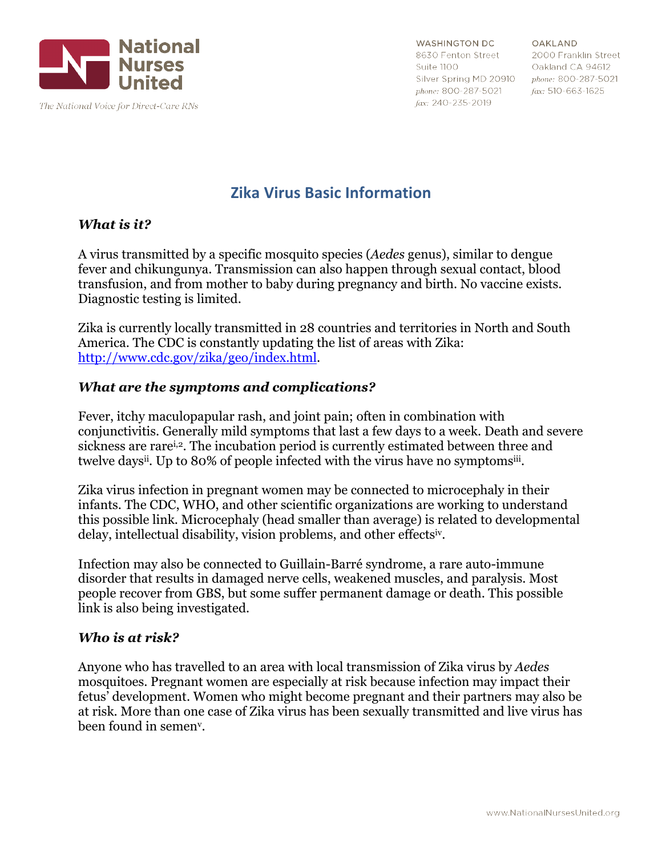

**WASHINGTON DC** 8630 Fenton Street Suite 1100 Silver Spring MD 20910 phone: 800-287-5021 phone: 800-287-5021 fax: 240-235-2019

OAKLAND 2000 Franklin Street Oakland CA 94612  $fax: 510-663-1625$ 

# **Zika Virus Basic Information**

## *What is it?*

A virus transmitted by a specific mosquito species (*Aedes* genus), similar to dengue fever and chikungunya. Transmission can also happen through sexual contact, blood transfusion, and from mother to baby during pregnancy and birth. No vaccine exists. Diagnostic testing is limited.

Zika is currently locally transmitted in 28 countries and territories in North and South America. The CDC is constantly updating the list of areas with Zika: http://www.cdc.gov/zika/geo/index.html.

## *What are the symptoms and complications?*

Fever, itchy maculopapular rash, and joint pain; often in combination with conjunctivitis. Generally mild symptoms that last a few days to a week. Death and severe sickness are rare<sup>i,2</sup>. The incubation period is currently estimated between three and twelve daysii. Up to 80% of people infected with the virus have no symptomsiii.

Zika virus infection in pregnant women may be connected to microcephaly in their infants. The CDC, WHO, and other scientific organizations are working to understand this possible link. Microcephaly (head smaller than average) is related to developmental delay, intellectual disability, vision problems, and other effectsiv.

Infection may also be connected to Guillain-Barré syndrome, a rare auto-immune disorder that results in damaged nerve cells, weakened muscles, and paralysis. Most people recover from GBS, but some suffer permanent damage or death. This possible link is also being investigated.

#### *Who is at risk?*

Anyone who has travelled to an area with local transmission of Zika virus by *Aedes* mosquitoes. Pregnant women are especially at risk because infection may impact their fetus' development. Women who might become pregnant and their partners may also be at risk. More than one case of Zika virus has been sexually transmitted and live virus has been found in semenv.